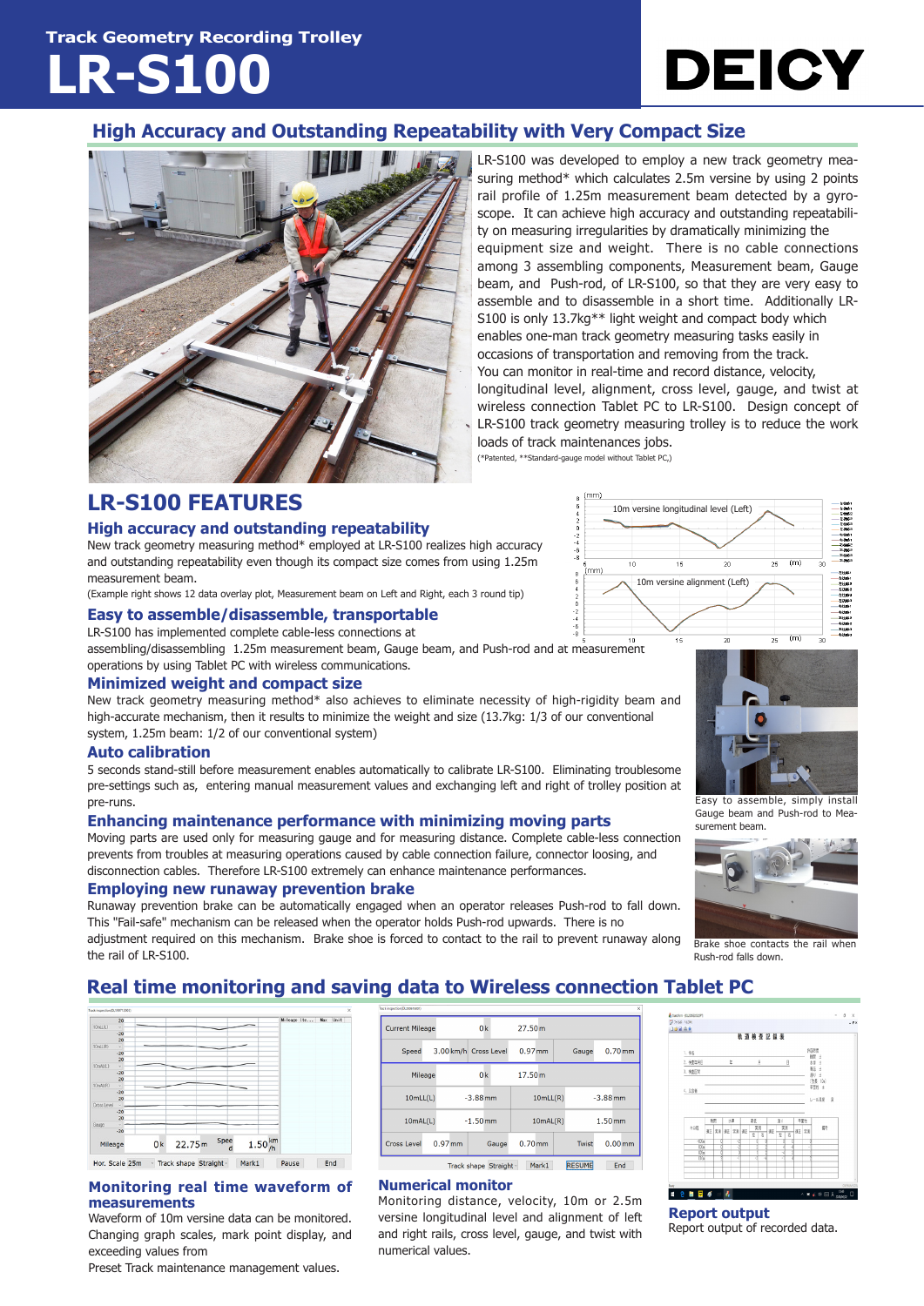**Track Geometry Recording Trolley LR-S100**



### **High Accuracy and Outstanding Repeatability with Very Compact Size**



LR-S100 was developed to employ a new track geometry measuring method\* which calculates 2.5m versine by using 2 points rail profile of 1.25m measurement beam detected by a gyroscope. It can achieve high accuracy and outstanding repeatability on measuring irregularities by dramatically minimizing the equipment size and weight. There is no cable connections among 3 assembling components, Measurement beam, Gauge beam, and Push-rod, of LR-S100, so that they are very easy to assemble and to disassemble in a short time. Additionally LR-S100 is only 13.7kg\*\* light weight and compact body which enables one-man track geometry measuring tasks easily in occasions of transportation and removing from the track. You can monitor in real-time and record distance, velocity, longitudinal level, alignment, cross level, gauge, and twist at wireless connection Tablet PC to LR-S100. Design concept of LR-S100 track geometry measuring trolley is to reduce the work loads of track maintenances jobs.

10m versine longitudinal level (Left)

 $16$ 

 $\overline{11}$ 

10m versine alignment (Left)

 $\overline{2n}$ 

(\*Patented, \*\*Standard-gauge model without Tablet PC,)

## **LR-S100 FEATURES**

#### **High accuracy and outstanding repeatability**

New track geometry measuring method\* employed at LR-S100 realizes high accuracy and outstanding repeatability even though its compact size comes from using 1.25m measurement beam.

(Example right shows 12 data overlay plot, Measurement beam on Left and Right, each 3 round tip)

#### **Easy to assemble/disassemble, transportable**

LR-S100 has implemented complete cable-less connections at

assembling/disassembling 1.25m measurement beam, Gauge beam, and Push-rod and at measurement operations by using Tablet PC with wireless communications.

#### **Minimized weight and compact size**

New track geometry measuring method\* also achieves to eliminate necessity of high-rigidity beam and high-accurate mechanism, then it results to minimize the weight and size (13.7kg: 1/3 of our conventional system, 1.25m beam: 1/2 of our conventional system)

#### **Auto calibration**

5 seconds stand-still before measurement enables automatically to calibrate LR-S100. Eliminating troublesome pre-settings such as, entering manual measurement values and exchanging left and right of trolley position at pre-runs.

#### **Enhancing maintenance performance with minimizing moving parts**

Moving parts are used only for measuring gauge and for measuring distance. Complete cable-less connection prevents from troubles at measuring operations caused by cable connection failure, connector loosing, and disconnection cables. Therefore LR-S100 extremely can enhance maintenance performances.

#### **Employing new runaway prevention brake**

Runaway prevention brake can be automatically engaged when an operator releases Push-rod to fall down. This "Fail-safe" mechanism can be released when the operator holds Push-rod upwards. There is no adjustment required on this mechanism. Brake shoe is forced to contact to the rail to prevent runaway along the rail of LR-S100.



 $(m)$ 

 $\overline{25}$ 

Easy to assemble, simply install Gauge beam and Push-rod to Measurement beam.



Brake shoe contacts the rail when Rush-rod falls down.

## **Real time monitoring and saving data to Wireless connection Tablet PC**

|             | 20    |                |        |           |                  | Mileage Ite Max |  | Unit |
|-------------|-------|----------------|--------|-----------|------------------|-----------------|--|------|
| 10mL(1)     | u     |                |        |           |                  |                 |  |      |
|             | $-20$ |                |        |           |                  |                 |  |      |
|             | 20    |                |        |           |                  |                 |  |      |
| 10mLL(R)    | vl    |                |        |           |                  |                 |  |      |
|             | $-20$ |                |        |           |                  |                 |  |      |
|             | 20    |                |        |           |                  |                 |  |      |
| 10mAL(L)    | v     |                |        |           |                  |                 |  |      |
|             | $-20$ |                |        |           |                  |                 |  |      |
|             | 20    |                |        |           |                  |                 |  |      |
| 10mAL(R)    | u     |                |        | –         |                  |                 |  |      |
|             | $-20$ |                |        |           |                  |                 |  |      |
|             | 20    |                |        |           |                  |                 |  |      |
| Cross Level |       |                |        |           |                  |                 |  |      |
|             | $-20$ |                |        |           |                  |                 |  |      |
|             | 20    |                |        |           |                  |                 |  |      |
| Gauge       |       |                |        |           |                  |                 |  |      |
|             | $-20$ |                |        |           |                  |                 |  |      |
| Mileage     |       | 0 <sub>k</sub> | 22.75m | Spee<br>d | $1.50^{km}_{/h}$ |                 |  |      |

#### **Monitoring real time waveform of measurements**

Waveform of 10m versine data can be monitored. Changing graph scales, mark point display, and exceeding values from

Preset Track maintenance management values.

| ack (napection) DL200615001).                           |  |            |                |                       |           |          |            |                    |                    |  |
|---------------------------------------------------------|--|------------|----------------|-----------------------|-----------|----------|------------|--------------------|--------------------|--|
| <b>Current Mileage</b>                                  |  |            | 0 <sup>k</sup> |                       | 27.50m    |          |            |                    |                    |  |
| Speed                                                   |  |            |                | 3.00 km/h Cross Level | $0.97$ mm |          |            | Gauge              | $0.70$ mm          |  |
| Mileage                                                 |  |            |                | 0 <sup>k</sup>        | 17.50m    |          |            |                    |                    |  |
| 10mLL(L)                                                |  | $-3.88$ mm |                |                       | 10mLL(R)  |          | $-3.88$ mm |                    |                    |  |
| 10mAL(L)                                                |  |            | $-1.50$ mm     |                       |           | 10mAL(R) |            | 1.50 <sub>mm</sub> |                    |  |
| Cross Level                                             |  | $0.97$ mm  |                | Gauge                 | $0.70$ mm |          |            | Twist              | 0.00 <sub>mm</sub> |  |
| <b>RESUME</b><br>Mark1<br>End<br>Track shane Straight ~ |  |            |                |                       |           |          |            |                    |                    |  |

#### **Numerical monitor**

Monitoring distance, velocity, 10m or 2.5m versine longitudinal level and alignment of left and right rails, cross level, gauge, and twist with numerical values.



**Report output** Report output of recorded data.